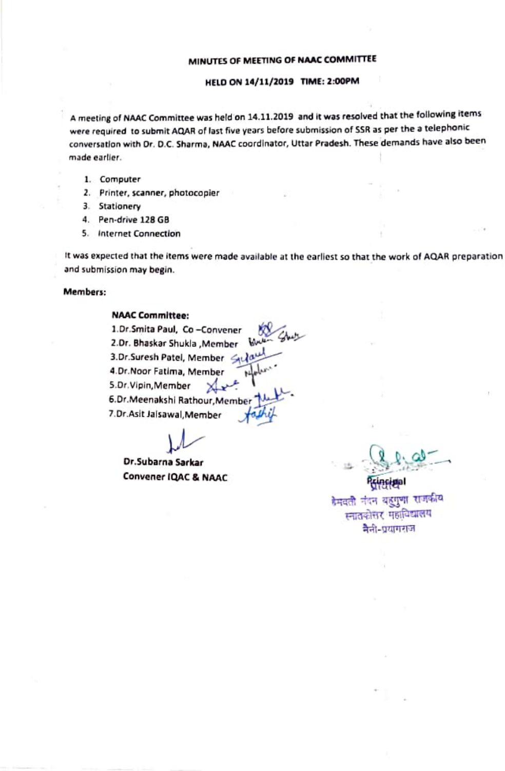## HELD ON 14/11/2019 TIME: 2:00PM

A meeting of NAAC Committee was held on 14.11.2019 and it was resolved that the following items were required to submit AQAR of last five years before submission of SSR as per the a telephonic conversation with Dr. D.C. Sharma, NAAC coordinator, Uttar Pradesh. These demands have also been made earler.

- 1. Computer
- 2. Printer, scanner, photocopier
- 3. Stationery
- 4. Pen-drive 128 GB
- 5. Internet Connection

t was expected that the items were made available at the carliest so that the work of AQAR preparation and submission may begin.

### Members:

# NAAC Committee:

1.Dr.Smita Paul, Co-Convener 2.0r. Bhaskar Shukla ,Member 3.Dr.Suresh Patel, Member<br>4.Dr.Nees Fethau 11 4.Dr.Noor Fatima, Member 5.Dr.Vipin,Member .0r.Meenakshi Rathour, Member 7.Dr.Asit Jalsawal, Member

Dr.Subarna sarkar Convener IQAC & NAAC

डेमवती नंदन बहुगुणा राजकीय म्नातकोसर महाविद्यालय नैती-प्रयागराज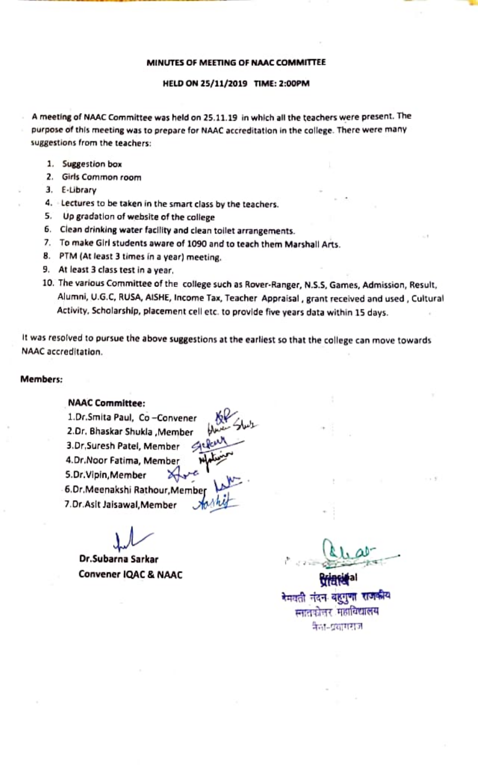#### HELD ON 25/11/2019 TIME: 2:00PM

A meeting of NAAC Committee was held on 25.11.19 in which all the teachers were present. Ihe purpose of this meeting was to prepare for NAAC accreditation in the college. There were many suggestions from the teachers:

- 1. Suggestion box
- . Giris Common room
- E-Library
- 4. Lectures to be taken in the smart class by the teachers.
- 5. Up gradation of website of the college
- 6. Clean drinking water faclity and clean toilet arrangements.
- .To make Glirl students aware of 1090 and to teach them Marshall Arts.
- 8. PTM (At least 3 times in a year) meeting.<br>9. At least 3 class test in a year.
- 
- 10. The various Committee of the college such as Rover-Ranger, N.S.S, Games, Admission, Result, Alumni, U.G.C RUSA, AISHE, Income Tax, Teacher Appraisal, grant received and used, Cultural Activity, Scholarship, placement cell etc. to provlde five years data within ls days.

It was resolved to pursue the above suggestions at the earliest so that the college can move towards NAAC accreditation.

## Members

# NAAC Committee:

1.Dr.Smita Paul, Co -Convener 4 2.0r. Bhaskar Shukla ,Member 3.Dr,Suresh Patel, Member 4,Dr.Noor Fatima, Member 5.Dr.Vipin,Member 6.Dr.Meenakshi Rathour,Membe .Dr.Aslt Jalsawal, Member

Dr.Subarna Sarkar

Convener IQAC & NAAC SAND DESCRIPTION OF THE CONVENTION OF THE CONVENTION OF THE CONVENTION OF THE CONVENTION O<br>विद्यालय के अन्याती नंदन बहुगुणा राजकीय म्नातकोत्तर महाविद्यालय नैका-प्रसागराज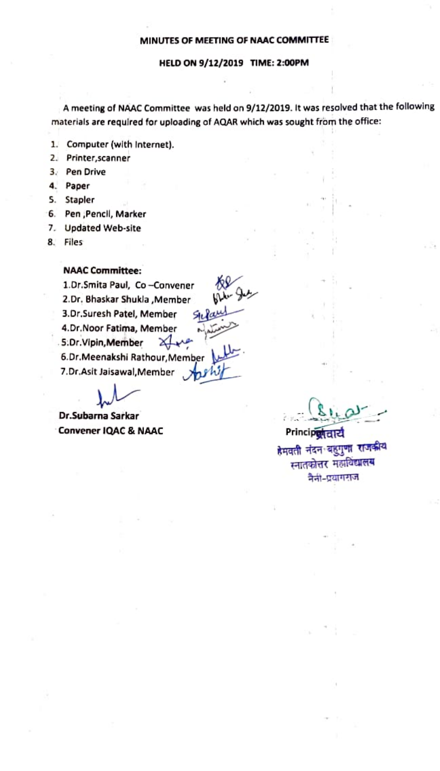# HELD ON 9/12/2019 TIME: 2:00PM

A meeting of NAAC Committee was held on 9/12/2019. It was resolved that the following materials are requlred for uploading af AQAR which was sought from the office:

- 1. Computer (with Internet).<br>2. Printer scanner
- Printer, scanner
- 3. Pen Drive
- 4 Paper
- S. Stapler
- 6. Pen , Pencil, Marker
- 7. Updated Web-site
- 8. Files

# NAAC Committee:

1.Dr.Smita Paul, Co-Convener 2.Dr, Bhaskar Shukla ,Member 3.Dr.Suresh Patel, Member 4.Dr.Noor Fatima, Member 5.Dr.Vipin, Member XLve 6.Dr.Meenakshi Rathour,Member 7.Dr.Asit Jaisawal, Member

Dr.Subarna Sarkar

Convener IQAC & NAAC Princip<del>olianum Princips</del><br>विद्यालय के समयती नंदन बहुगुणा राजकीय स्नातकोत्तर महाविद्यालय नैर्ना-एयागराज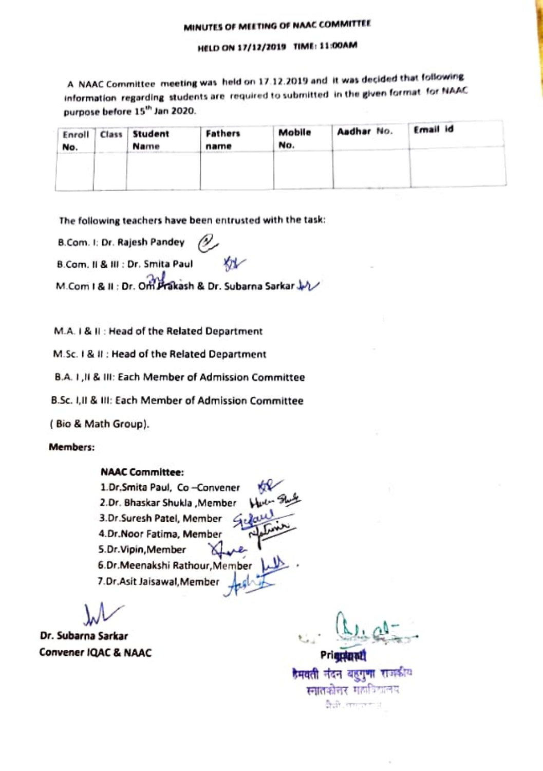# HELD ON 17/12/2019 TIME: 11 00AM

A NAAC Committee meeting was held on 17.12.2019 and it was decided that following information regarding students are required to submitted in the given format for NAAC purpose before 15<sup>th</sup> Jan 2020.

| Enroll<br>No. | Class Student<br>Name | Fathers<br>name | Mobile<br>No. | Aadhar No. | Ernail id |  |
|---------------|-----------------------|-----------------|---------------|------------|-----------|--|
|               |                       |                 |               |            |           |  |
|               |                       |                 |               |            |           |  |
|               |                       |                 |               |            |           |  |

The following teachers have been entrusted with the task:

8.Com. : Dr. Rajesh Pandey v.

B.Com. Il & III : Dr. Smita Paul

M.Com I & II : Dr. Om Prakash & Dr. Subarna Sarkar JA

M.A. 1& 1: Head of the Related Department

M.Sc. 1& 11 : Head of the Related Department

B.A1,1& 11: Each Member of Admission Committee

B.Sc. 1,l & IIl: Each Member of Admission Committee

( Bio & Math Group).

# Members:

# NAAC Committee:

1.Dr.Smita Paul, Co -Convener 2.Dr. Bhaskar Shukla , Member 3.Dr.Suresh Patel, Member 4.Dr.Noor Fatima, Member S.Dr.Vipin, Member X 5.Dr.Meenakshi Rathour,Member 7.Dr.Asit Jaisawal,Member

Dr. Subarna Sarkar

Dr. Subarna Sarkar<br>Convener IQAC & NAAC Prignant Prignant<br>हेमवती नंदन बहुगुणा राजकीय स्नातकोत्तर महाविद्यालय **Built** comment of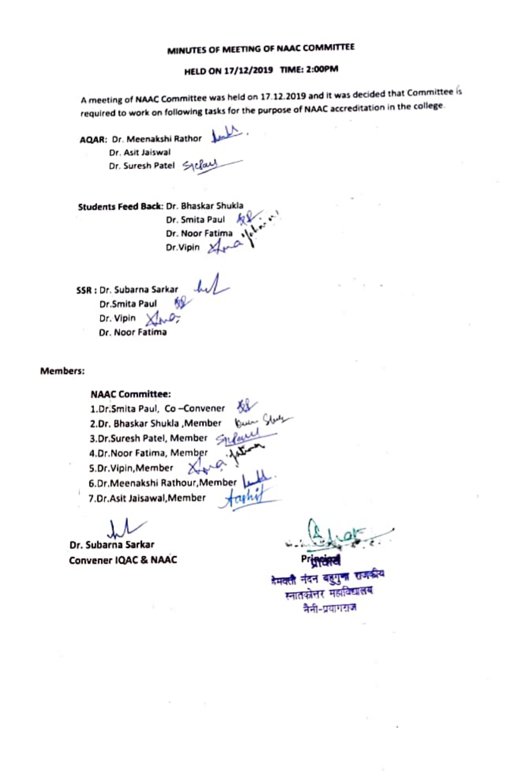# HELD ON 17/12/2019 TIME: 2:00PM

A meeting of NAAC Committee was held on 17.12.2019 and it was decided that Committee is requlred to work on following tasks for the purpose of NAAC accreditation in the college

AQAR: Dr. Meenakshi Rathor Dr. Asit Jaiswal Dr. Suresh Patel Sycland

Students Feed Back: Dr. Bhaskar Shukla Dr. Smita Paul **RV** Dr. Noor Fatima Dr.Vipin 2

SSR : Dr. Subarna Sarkar Dr.Smita Paul **6**<br>Dr. Vipin X<sub>2</sub> Dr. Noor Fatima

Members

# NAAC Committee:

1.Dr.Smita Paul, Co-Convener 2.Dr. Bhaskar Shukla ,Member u 3.Dr.Suresh Patel, Member i 4.Dr.Noor Fatima, Member 5.Dr.Vipin, Member 6.Dr, Meenakshi Rathour, Member 7.Dr.Asit Jaisawal, Member  $\pi$ 

. Dr. Subarna 5arkar Convener lQAC & NAAC

नेमवती नंदन बहुगुण राज नैनी-प्रयागराज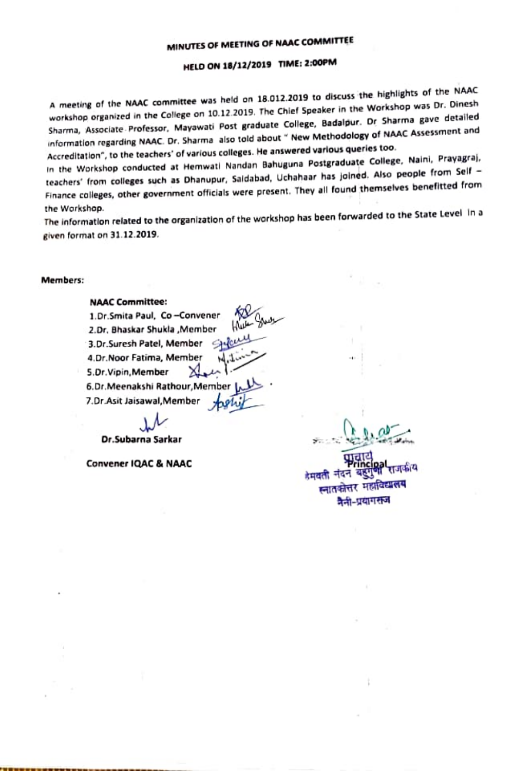# MELD ON 18/12/2019 TIME: 2:00PM

A meeting of the NAAC committee was held on 18.012.2019 to discuss the highlights of the NaAC workshop organized in the College on 10.12.2019. The Chier Speaker in the Workshop was Dr. Dinesn Sharma, Associate Professor, Mayawati Post graduate College, Badalpur. Dr Sharma gave detailed information regarding NAAC. Dr. Sharma also told about " New Methodology of NAAC Assessment and Accreditation", to the teachers' of various colleges. He answered various queries too.

In the Workshop conducted at Hemwati Nandan Bahuguna Postgraduate College, Naini, Prayagraj, teachers' from colleges such as Dhanupur, Saldabad, Uchahaar has joined. Also people from Self -Finance colleges, other government officials were present. They all found themselves benefitted from the Workshop.

The informatlon related to the organization of the workshop has been forwarded to the State Level in a given format on 31.12.2019.

 $\mathcal{L} \Omega$ 

#### Members

# NAAC Committee:

Dr.Subarna Sarkar

Convener IQAC & NAAC

स्नातकोत्तर महा

वैली-प्रयागसूच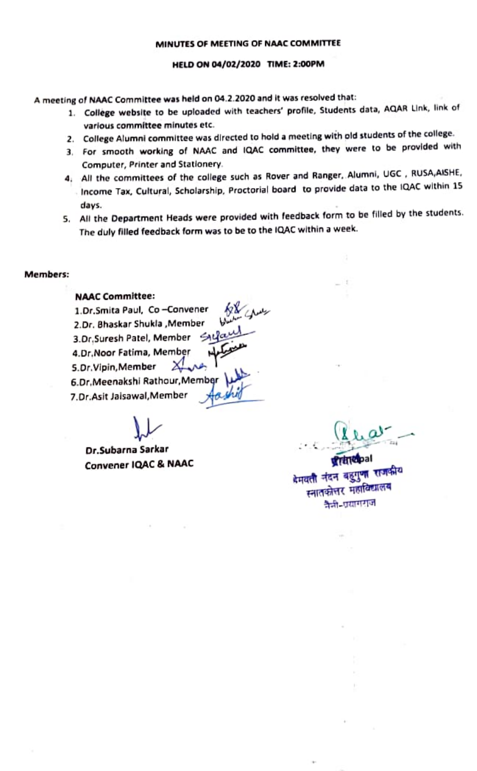# HELD ON 04/02/2020 TIME: 2:00PM

meeting of NAAC Committee was held on 04.2.2020 and it was resolved that:

- 1. College website to be uploaded with teachers' profile, Students data, AQAR Link, link of various committee minutes etc.
- 2. College Alumni committee was directed to hold a meeting with old students of the college.
- 3, For smooth working of NAAC and lQAC committee, they were to be provided with Computer, Printer and Stationery.
- 4. All the committees of the college such as Rover and Ranger, Alumni, UGC, RUSA,AISHE, Income Tax, Cultural, Scholarship, Proctorial board to provide data to the IQAC within 15 days.
- 5. All the Department Heads were provided with feedback form to be filled by the students. The duly filled feedback form was to be to the lQAC within a week

### Members:

# NAAC Committee:

1.Dr.Smita Paul, Co-Convener 2.Dr. Bhaskar Shukla,Member 3.Dr, Suresh Patel, Member Syla 4.Dr.Noor Fatima, Member S.Dr. Vipin, Member 6.Dr.Meenakshi Rathaur, Member 1.Dr.Asit Jaisawal, Member ai

Dr.Subarna Sarkar

**ALA** 

Convener IQAC & NAAC **the second of the Second Convener IQAC & NAAC** स्नातकोत्तर महाविद्यालय<br>वैज्ञी-प्रयागराज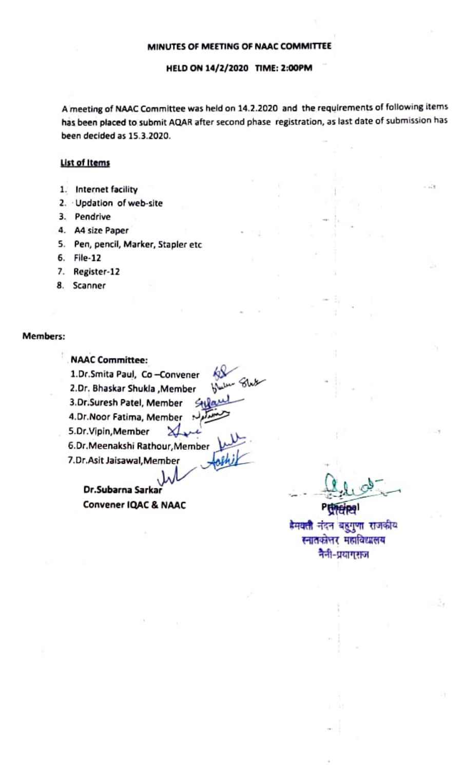# HELD ON 14/2/2020 TIME: 2:00PM

Ameeting of NAAC Committee was held on 14.2.2020 and the requirements of following items has been placed to submit AQAR after second phase registration, as last date of submission has been decided as 15.3.2020.

# List of Items

- 1. Internet facility
- 2. Updation of web-site
- 3. Pendrive
- 4. A4 size Paper
- 5. Pen, pencil, Marker, Stapler etc
- Fle-12
- 7. Register-12
- 8. Scanner

# Members:

NAAC Committee: 1.Dr.Smita Paul, Co-Convener 2.Dr. Bhaskar Shukla , Member 3.Dr.Suresh Patel, Member <all<br>4.Dr.Noor Fatima, Member 4.Dr. Noor Fatima, Member 5.Dr.Vipin,Member XI. 6.Dr.Meenakshi Rathour,Member fashik 7.Dr.Asit Jaisawal, Member

w Dr.Subarna Sarkar Convener IQAC & NAAC

डेमवती नंदन बहगणा राजकीय स्नातकोत्तर महाविद्यालय नैनी-प्रयागराज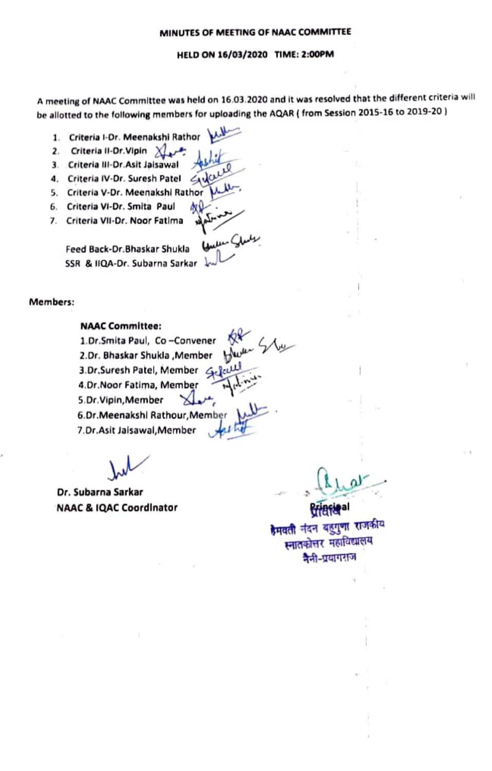## HELD ON 16/03/2020 TIME: 2:00PM

A meting of NAaC Committee was held on 16.03.2020 and it was resolved that the different criteria wi be allotted to the following members for uploading the AQAR ( from Session 2015-16 to 2019-20)

- 1. Criteria I-Dr. Meenakshi Rathor<br>2. Criteria II-Dr.Vipin X
- 
- 3. Criteria III-Dr.Asit Jalsawal
- 4. Criteria IV-Dr. Suresh Patel <av
- 5. Criteria V-Dr. Meenakshl Rathor
- 6. Criterla V-Dr. Smita Paul
- Criteria Vil-Dr. Noor Fatima

Feed Back-Dr. Bhaskar Shukla SSR & 1QA-Dr. Subarna Sarkar

Members:

# NAAC Committee:

1.Dr.Smita Paul, Co-Convener 2.Dr. Bhaskar Shukla ,Member 3.Dr.Suresh Patel, Member Gelal 4.Dr.Noor Fatima, Member 5.Dr.Vipin, Member 6.Dr.Meenakshl Rathour, Membe 7.Dr.Asit Jaisawal,Member

Dr. Subarna Sarkar NAAC & IQAC Coordinator

हैमवती नंदन बहुगुणा स्नातकोत्तर महाविद्य नैनी-प्रयागराज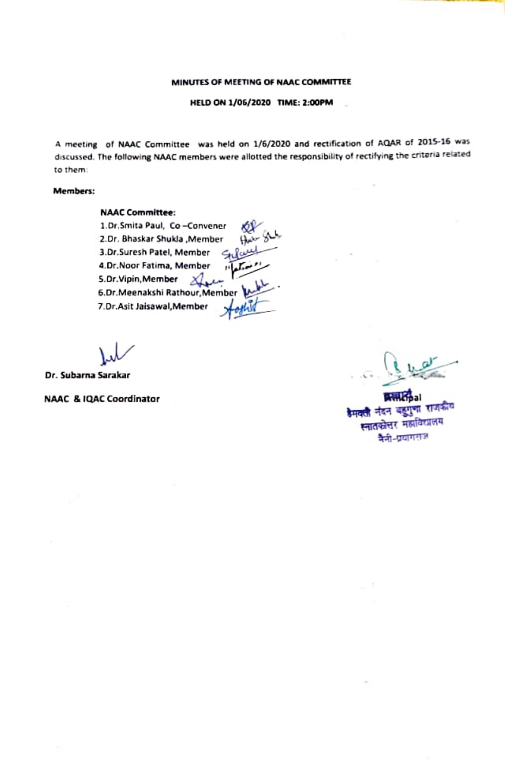HELD ON 1/05/2020 TIME: 2:00PM

A meeting of NAAC Committee was held on 1/6/2020 and rectification of AQAR of 2015-16 wa discussed. The following NAAC members were allotted the responsibility of rectifying the criteria related to them

# Members:

# NAAC Committee:

1.Dr.Smita Paul, Co-Convener<br>2.Dr. Bhaskar Shukla , Member 3.Dr.Suresh Patel, Member Sule 4.Dr.Noor Fatima, Member مغسلعان 5.Dr.Vipin, Member 2 6.Dr.Meenakshi Rathour, Member<br>7.Dr.Asit Jaisawal, Member talkula

Dr. Subarna Sarakar

NAAC & IQAC Coordinator palace of the palace of the palace of the palace of the palace of the palace of the palace of the palace of the palace of the palace of the palace of the palace of the palace of the palace of the pa स्नातकोत्तर महाविद्यालय वैनी-प्रयागराज